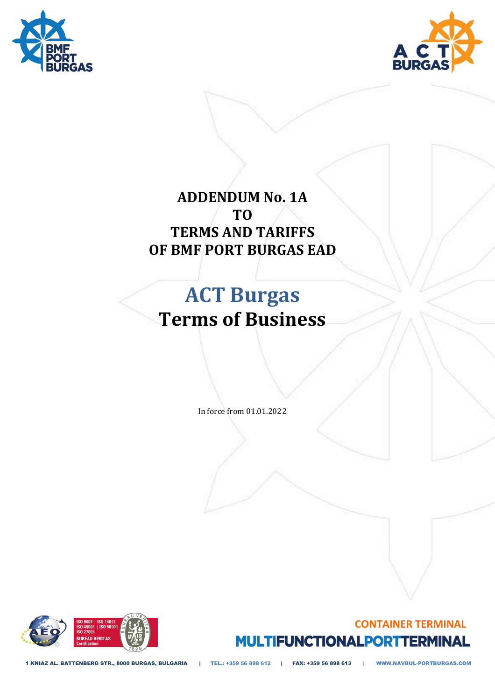



# **ADDENDUM No. 1A TO TERMS AND TARIFFS OF BMF PORT BURGAS EAD**

# **ACT Burgas Terms of Business**

In force from 01.01.2022





1 KNIAZ AL. BATTENBERG STR., 8000 BURGAS, BULGARIA | TEL.: +359 56 898 612 | FAX: +359 56 898 613 | WWW.NAVBUL-PORTBURGAS.COM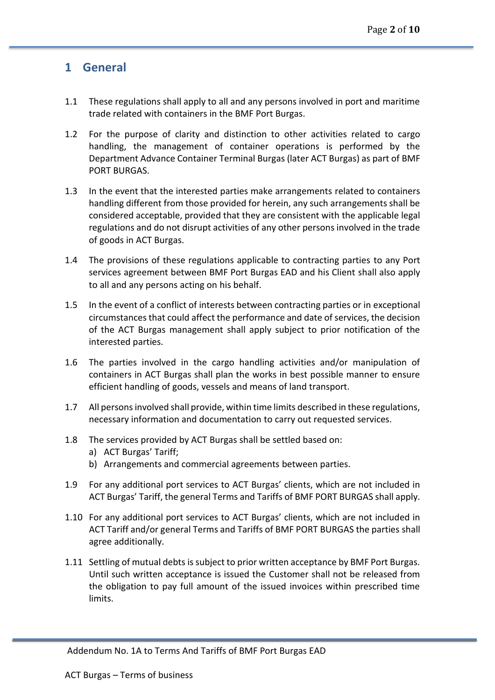#### **1 General**

- 1.1 These regulations shall apply to all and any persons involved in port and maritime trade related with containers in the BMF Port Burgas.
- 1.2 For the purpose of clarity and distinction to other activities related to cargo handling, the management of container operations is performed by the Department Advance Container Terminal Burgas (later ACT Burgas) as part of BMF PORT BURGAS.
- 1.3 In the event that the interested parties make arrangements related to containers handling different from those provided for herein, any such arrangements shall be considered acceptable, provided that they are consistent with the applicable legal regulations and do not disrupt activities of any other persons involved in the trade of goods in ACT Burgas.
- 1.4 The provisions of these regulations applicable to contracting parties to any Port services agreement between BMF Port Burgas EAD and his Client shall also apply to all and any persons acting on his behalf.
- 1.5 In the event of a conflict of interests between contracting parties or in exceptional circumstances that could affect the performance and date of services, the decision of the ACT Burgas management shall apply subject to prior notification of the interested parties.
- 1.6 The parties involved in the cargo handling activities and/or manipulation of containers in ACT Burgas shall plan the works in best possible manner to ensure efficient handling of goods, vessels and means of land transport.
- 1.7 All persons involved shall provide, within time limits described in these regulations, necessary information and documentation to carry out requested services.
- 1.8 The services provided by ACT Burgas shall be settled based on:
	- a) ACT Burgas' Tariff;
	- b) Arrangements and commercial agreements between parties.
- 1.9 For any additional port services to ACT Burgas' clients, which are not included in ACT Burgas' Tariff, the general Terms and Tariffs of BMF PORT BURGAS shall apply.
- 1.10 For any additional port services to ACT Burgas' clients, which are not included in ACT Tariff and/or general Terms and Tariffs of BMF PORT BURGAS the parties shall agree additionally.
- 1.11 Settling of mutual debts is subject to prior written acceptance by BMF Port Burgas. Until such written acceptance is issued the Customer shall not be released from the obligation to pay full amount of the issued invoices within prescribed time limits.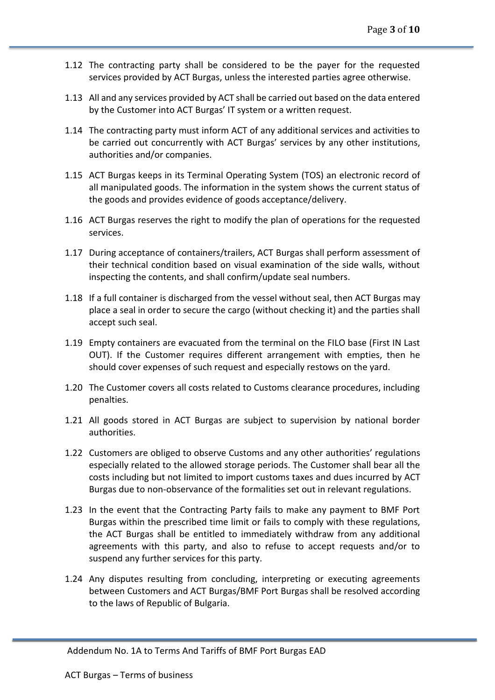- 1.12 The contracting party shall be considered to be the payer for the requested services provided by ACT Burgas, unless the interested parties agree otherwise.
- 1.13 All and any services provided by ACT shall be carried out based on the data entered by the Customer into ACT Burgas' IT system or a written request.
- 1.14 The contracting party must inform ACT of any additional services and activities to be carried out concurrently with ACT Burgas' services by any other institutions, authorities and/or companies.
- 1.15 ACT Burgas keeps in its Terminal Operating System (TOS) an electronic record of all manipulated goods. The information in the system shows the current status of the goods and provides evidence of goods acceptance/delivery.
- 1.16 ACT Burgas reserves the right to modify the plan of operations for the requested services.
- 1.17 During acceptance of containers/trailers, ACT Burgas shall perform assessment of their technical condition based on visual examination of the side walls, without inspecting the contents, and shall confirm/update seal numbers.
- 1.18 If a full container is discharged from the vessel without seal, then ACT Burgas may place a seal in order to secure the cargo (without checking it) and the parties shall accept such seal.
- 1.19 Empty containers are evacuated from the terminal on the FILO base (First IN Last OUT). If the Customer requires different arrangement with empties, then he should cover expenses of such request and especially restows on the yard.
- 1.20 The Customer covers all costs related to Customs clearance procedures, including penalties.
- 1.21 All goods stored in ACT Burgas are subject to supervision by national border authorities.
- 1.22 Customers are obliged to observe Customs and any other authorities' regulations especially related to the allowed storage periods. The Customer shall bear all the costs including but not limited to import customs taxes and dues incurred by ACT Burgas due to non-observance of the formalities set out in relevant regulations.
- 1.23 In the event that the Contracting Party fails to make any payment to BMF Port Burgas within the prescribed time limit or fails to comply with these regulations, the ACT Burgas shall be entitled to immediately withdraw from any additional agreements with this party, and also to refuse to accept requests and/or to suspend any further services for this party.
- 1.24 Any disputes resulting from concluding, interpreting or executing agreements between Customers and ACT Burgas/BMF Port Burgas shall be resolved according to the laws of Republic of Bulgaria.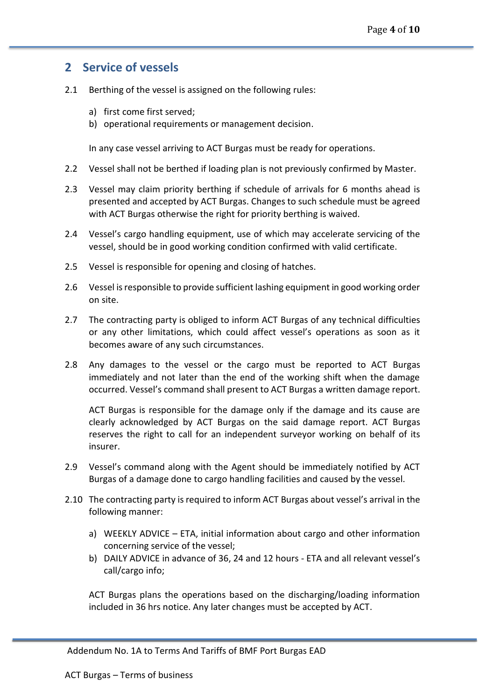#### **2 Service of vessels**

- 2.1 Berthing of the vessel is assigned on the following rules:
	- a) first come first served;
	- b) operational requirements or management decision.

In any case vessel arriving to ACT Burgas must be ready for operations.

- 2.2 Vessel shall not be berthed if loading plan is not previously confirmed by Master.
- 2.3 Vessel may claim priority berthing if schedule of arrivals for 6 months ahead is presented and accepted by ACT Burgas. Changes to such schedule must be agreed with ACT Burgas otherwise the right for priority berthing is waived.
- 2.4 Vessel's cargo handling equipment, use of which may accelerate servicing of the vessel, should be in good working condition confirmed with valid certificate.
- 2.5 Vessel is responsible for opening and closing of hatches.
- 2.6 Vessel is responsible to provide sufficient lashing equipment in good working order on site.
- 2.7 The contracting party is obliged to inform ACT Burgas of any technical difficulties or any other limitations, which could affect vessel's operations as soon as it becomes aware of any such circumstances.
- 2.8 Any damages to the vessel or the cargo must be reported to ACT Burgas immediately and not later than the end of the working shift when the damage occurred. Vessel's command shall present to ACT Burgas a written damage report.

ACT Burgas is responsible for the damage only if the damage and its cause are clearly acknowledged by ACT Burgas on the said damage report. ACT Burgas reserves the right to call for an independent surveyor working on behalf of its insurer.

- 2.9 Vessel's command along with the Agent should be immediately notified by ACT Burgas of a damage done to cargo handling facilities and caused by the vessel.
- 2.10 The contracting party is required to inform ACT Burgas about vessel's arrival in the following manner:
	- a) WEEKLY ADVICE ETA, initial information about cargo and other information concerning service of the vessel;
	- b) DAILY ADVICE in advance of 36, 24 and 12 hours ETA and all relevant vessel's call/cargo info;

ACT Burgas plans the operations based on the discharging/loading information included in 36 hrs notice. Any later changes must be accepted by ACT.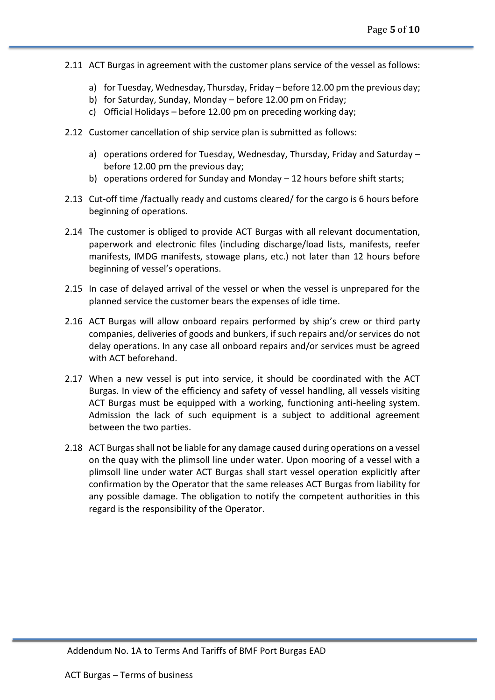- 2.11 ACT Burgas in agreement with the customer plans service of the vessel as follows:
	- a) for Tuesday, Wednesday, Thursday, Friday before 12.00 pm the previous day;
	- b) for Saturday, Sunday, Monday before 12.00 pm on Friday;
	- c) Official Holidays before 12.00 pm on preceding working day;
- 2.12 Customer cancellation of ship service plan is submitted as follows:
	- a) operations ordered for Tuesday, Wednesday, Thursday, Friday and Saturday before 12.00 pm the previous day;
	- b) operations ordered for Sunday and Monday 12 hours before shift starts;
- 2.13 Cut-off time /factually ready and customs cleared/ for the cargo is 6 hours before beginning of operations.
- 2.14 The customer is obliged to provide ACT Burgas with all relevant documentation, paperwork and electronic files (including discharge/load lists, manifests, reefer manifests, IMDG manifests, stowage plans, etc.) not later than 12 hours before beginning of vessel's operations.
- 2.15 In case of delayed arrival of the vessel or when the vessel is unprepared for the planned service the customer bears the expenses of idle time.
- 2.16 ACT Burgas will allow onboard repairs performed by ship's crew or third party companies, deliveries of goods and bunkers, if such repairs and/or services do not delay operations. In any case all onboard repairs and/or services must be agreed with ACT beforehand.
- 2.17 When a new vessel is put into service, it should be coordinated with the ACT Burgas. In view of the efficiency and safety of vessel handling, all vessels visiting ACT Burgas must be equipped with a working, functioning anti-heeling system. Admission the lack of such equipment is a subject to additional agreement between the two parties.
- 2.18 ACT Burgas shall not be liable for any damage caused during operations on a vessel on the quay with the plimsoll line under water. Upon mooring of a vessel with a plimsoll line under water ACT Burgas shall start vessel operation explicitly after confirmation by the Operator that the same releases ACT Burgas from liability for any possible damage. The obligation to notify the competent authorities in this regard is the responsibility of the Operator.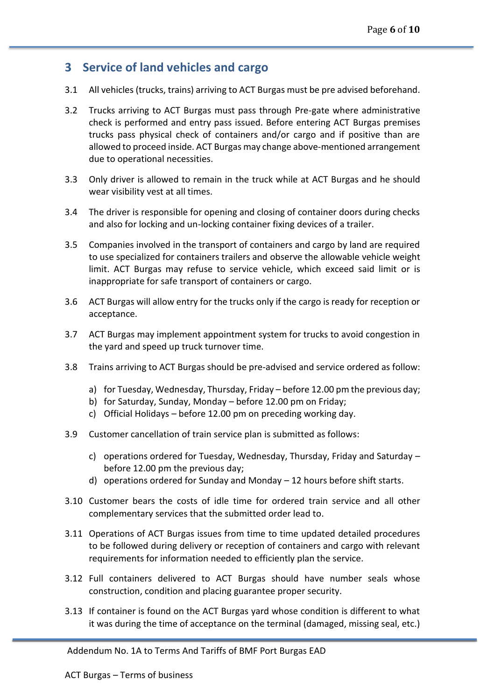### **3 Service of land vehicles and cargo**

- 3.1 All vehicles (trucks, trains) arriving to ACT Burgas must be pre advised beforehand.
- 3.2 Trucks arriving to ACT Burgas must pass through Pre-gate where administrative check is performed and entry pass issued. Before entering ACT Burgas premises trucks pass physical check of containers and/or cargo and if positive than are allowed to proceed inside. ACT Burgas may change above-mentioned arrangement due to operational necessities.
- 3.3 Only driver is allowed to remain in the truck while at ACT Burgas and he should wear visibility vest at all times.
- 3.4 The driver is responsible for opening and closing of container doors during checks and also for locking and un-locking container fixing devices of a trailer.
- 3.5 Companies involved in the transport of containers and cargo by land are required to use specialized for containers trailers and observe the allowable vehicle weight limit. ACT Burgas may refuse to service vehicle, which exceed said limit or is inappropriate for safe transport of containers or cargo.
- 3.6 ACT Burgas will allow entry for the trucks only if the cargo is ready for reception or acceptance.
- 3.7 ACT Burgas may implement appointment system for trucks to avoid congestion in the yard and speed up truck turnover time.
- 3.8 Trains arriving to ACT Burgas should be pre-advised and service ordered as follow:
	- a) for Tuesday, Wednesday, Thursday, Friday before 12.00 pm the previous day;
	- b) for Saturday, Sunday, Monday before 12.00 pm on Friday;
	- c) Official Holidays before 12.00 pm on preceding working day.
- 3.9 Customer cancellation of train service plan is submitted as follows:
	- c) operations ordered for Tuesday, Wednesday, Thursday, Friday and Saturday before 12.00 pm the previous day;
	- d) operations ordered for Sunday and Monday 12 hours before shift starts.
- 3.10 Customer bears the costs of idle time for ordered train service and all other complementary services that the submitted order lead to.
- 3.11 Operations of ACT Burgas issues from time to time updated detailed procedures to be followed during delivery or reception of containers and cargo with relevant requirements for information needed to efficiently plan the service.
- 3.12 Full containers delivered to ACT Burgas should have number seals whose construction, condition and placing guarantee proper security.
- 3.13 If container is found on the ACT Burgas yard whose condition is different to what it was during the time of acceptance on the terminal (damaged, missing seal, etc.)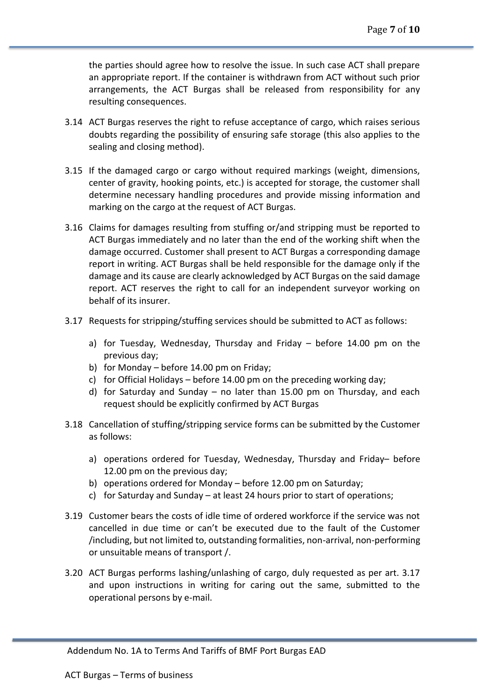the parties should agree how to resolve the issue. In such case ACT shall prepare an appropriate report. If the container is withdrawn from ACT without such prior arrangements, the ACT Burgas shall be released from responsibility for any resulting consequences.

- 3.14 ACT Burgas reserves the right to refuse acceptance of cargo, which raises serious doubts regarding the possibility of ensuring safe storage (this also applies to the sealing and closing method).
- 3.15 If the damaged cargo or cargo without required markings (weight, dimensions, center of gravity, hooking points, etc.) is accepted for storage, the customer shall determine necessary handling procedures and provide missing information and marking on the cargo at the request of ACT Burgas.
- 3.16 Claims for damages resulting from stuffing or/and stripping must be reported to ACT Burgas immediately and no later than the end of the working shift when the damage occurred. Customer shall present to ACT Burgas a corresponding damage report in writing. ACT Burgas shall be held responsible for the damage only if the damage and its cause are clearly acknowledged by ACT Burgas on the said damage report. ACT reserves the right to call for an independent surveyor working on behalf of its insurer.
- 3.17 Requests for stripping/stuffing services should be submitted to ACT as follows:
	- a) for Tuesday, Wednesday, Thursday and Friday before 14.00 pm on the previous day;
	- b) for Monday before 14.00 pm on Friday;
	- c) for Official Holidays before 14.00 pm on the preceding working day;
	- d) for Saturday and Sunday no later than 15.00 pm on Thursday, and each request should be explicitly confirmed by ACT Burgas
- 3.18 Cancellation of stuffing/stripping service forms can be submitted by the Customer as follows:
	- a) operations ordered for Tuesday, Wednesday, Thursday and Friday– before 12.00 pm on the previous day;
	- b) operations ordered for Monday before 12.00 pm on Saturday;
	- c) for Saturday and Sunday at least 24 hours prior to start of operations;
- 3.19 Customer bears the costs of idle time of ordered workforce if the service was not cancelled in due time or can't be executed due to the fault of the Customer /including, but not limited to, outstanding formalities, non-arrival, non-performing or unsuitable means of transport /.
- 3.20 ACT Burgas performs lashing/unlashing of cargo, duly requested as per art. 3.17 and upon instructions in writing for caring out the same, submitted to the operational persons by e-mail.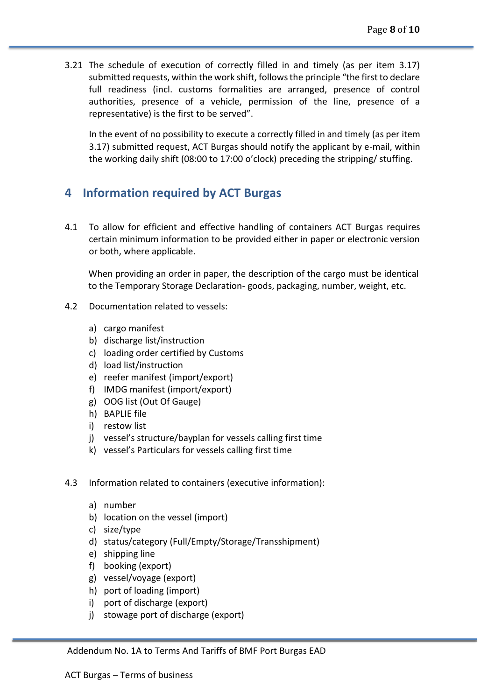3.21 The schedule of execution of correctly filled in and timely (as per item 3.17) submitted requests, within the work shift, follows the principle "the first to declare full readiness (incl. customs formalities are arranged, presence of control authorities, presence of a vehicle, permission of the line, presence of a representative) is the first to be served".

In the event of no possibility to execute a correctly filled in and timely (as per item 3.17) submitted request, ACT Burgas should notify the applicant by e-mail, within the working daily shift (08:00 to 17:00 o'clock) preceding the stripping/ stuffing.

#### **4 Information required by ACT Burgas**

4.1 To allow for efficient and effective handling of containers ACT Burgas requires certain minimum information to be provided either in paper or electronic version or both, where applicable.

When providing an order in paper, the description of the cargo must be identical to the Temporary Storage Declaration- goods, packaging, number, weight, etc.

- 4.2 Documentation related to vessels:
	- a) cargo manifest
	- b) discharge list/instruction
	- c) loading order certified by Customs
	- d) load list/instruction
	- e) reefer manifest (import/export)
	- f) IMDG manifest (import/export)
	- g) OOG list (Out Of Gauge)
	- h) BAPLIE file
	- i) restow list
	- j) vessel's structure/bayplan for vessels calling first time
	- k) vessel's Particulars for vessels calling first time
- 4.3 Information related to containers (executive information):
	- a) number
	- b) location on the vessel (import)
	- c) size/type
	- d) status/category (Full/Empty/Storage/Transshipment)
	- e) shipping line
	- f) booking (export)
	- g) vessel/voyage (export)
	- h) port of loading (import)
	- i) port of discharge (export)
	- j) stowage port of discharge (export)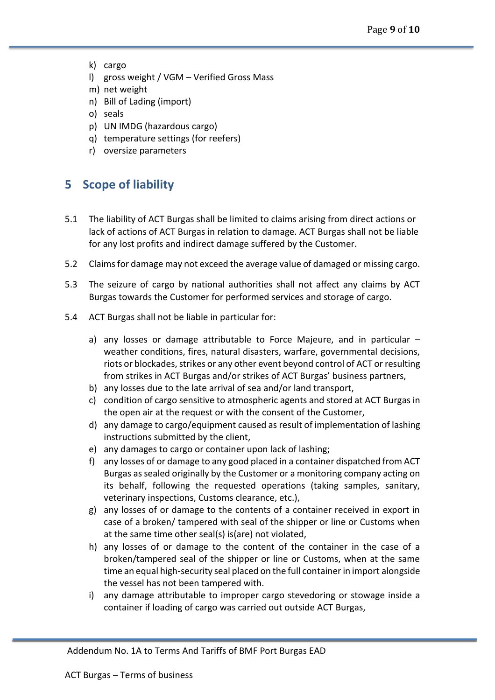- k) cargo
- l) gross weight / VGM Verified Gross Mass
- m) net weight
- n) Bill of Lading (import)
- o) seals
- p) UN IMDG (hazardous cargo)
- q) temperature settings (for reefers)
- r) oversize parameters

## **5 Scope of liability**

- 5.1 The liability of ACT Burgas shall be limited to claims arising from direct actions or lack of actions of ACT Burgas in relation to damage. ACT Burgas shall not be liable for any lost profits and indirect damage suffered by the Customer.
- 5.2 Claims for damage may not exceed the average value of damaged or missing cargo.
- 5.3 The seizure of cargo by national authorities shall not affect any claims by ACT Burgas towards the Customer for performed services and storage of cargo.
- 5.4 ACT Burgas shall not be liable in particular for:
	- a) any losses or damage attributable to Force Majeure, and in particular weather conditions, fires, natural disasters, warfare, governmental decisions, riots or blockades, strikes or any other event beyond control of ACT or resulting from strikes in ACT Burgas and/or strikes of ACT Burgas' business partners,
	- b) any losses due to the late arrival of sea and/or land transport,
	- c) condition of cargo sensitive to atmospheric agents and stored at ACT Burgas in the open air at the request or with the consent of the Customer,
	- d) any damage to cargo/equipment caused as result of implementation of lashing instructions submitted by the client,
	- e) any damages to cargo or container upon lack of lashing;
	- f) any losses of or damage to any good placed in a container dispatched from ACT Burgas as sealed originally by the Customer or a monitoring company acting on its behalf, following the requested operations (taking samples, sanitary, veterinary inspections, Customs clearance, etc.),
	- g) any losses of or damage to the contents of a container received in export in case of a broken/ tampered with seal of the shipper or line or Customs when at the same time other seal(s) is(are) not violated,
	- h) any losses of or damage to the content of the container in the case of a broken/tampered seal of the shipper or line or Customs, when at the same time an equal high-security seal placed on the full container in import alongside the vessel has not been tampered with.
	- i) any damage attributable to improper cargo stevedoring or stowage inside a container if loading of cargo was carried out outside ACT Burgas,